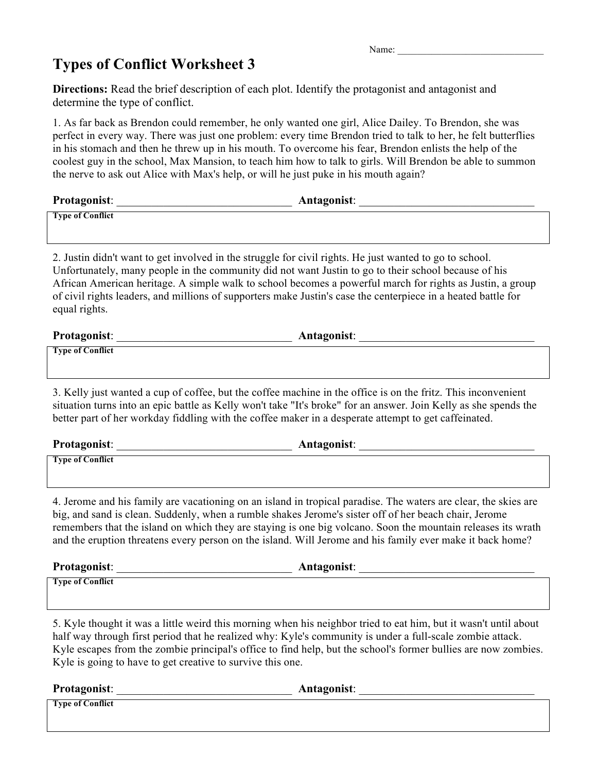## **Types of Conflict Worksheet 3**

| Name: |  |
|-------|--|
|-------|--|

**Directions:** Read the brief description of each plot. Identify the protagonist and antagonist and determine the type of conflict.

1. As far back as Brendon could remember, he only wanted one girl, Alice Dailey. To Brendon, she was perfect in every way. There was just one problem: every time Brendon tried to talk to her, he felt butterflies in his stomach and then he threw up in his mouth. To overcome his fear, Brendon enlists the help of the coolest guy in the school, Max Mansion, to teach him how to talk to girls. Will Brendon be able to summon the nerve to ask out Alice with Max's help, or will he just puke in his mouth again?

| Protagonist:            | <b>Antagonist:</b> |
|-------------------------|--------------------|
| <b>Type of Conflict</b> |                    |

2. Justin didn't want to get involved in the struggle for civil rights. He just wanted to go to school. Unfortunately, many people in the community did not want Justin to go to their school because of his African American heritage. A simple walk to school becomes a powerful march for rights as Justin, a group of civil rights leaders, and millions of supporters make Justin's case the centerpiece in a heated battle for equal rights.

| Protagonist:            | Antagonist: |
|-------------------------|-------------|
| <b>Type of Conflict</b> |             |

3. Kelly just wanted a cup of coffee, but the coffee machine in the office is on the fritz. This inconvenient situation turns into an epic battle as Kelly won't take "It's broke" for an answer. Join Kelly as she spends the better part of her workday fiddling with the coffee maker in a desperate attempt to get caffeinated.

| <b>Protagonist:</b>     | Antagonist: |
|-------------------------|-------------|
| <b>Type of Conflict</b> |             |

4. Jerome and his family are vacationing on an island in tropical paradise. The waters are clear, the skies are big, and sand is clean. Suddenly, when a rumble shakes Jerome's sister off of her beach chair, Jerome remembers that the island on which they are staying is one big volcano. Soon the mountain releases its wrath and the eruption threatens every person on the island. Will Jerome and his family ever make it back home?

| <b>Protagonist:</b> | Antagonist: |  |
|---------------------|-------------|--|
| Type of Conflict    |             |  |

5. Kyle thought it was a little weird this morning when his neighbor tried to eat him, but it wasn't until about half way through first period that he realized why: Kyle's community is under a full-scale zombie attack. Kyle escapes from the zombie principal's office to find help, but the school's former bullies are now zombies. Kyle is going to have to get creative to survive this one.

| Protagonist:            | Antagonist: |
|-------------------------|-------------|
| <b>Type of Conflict</b> |             |